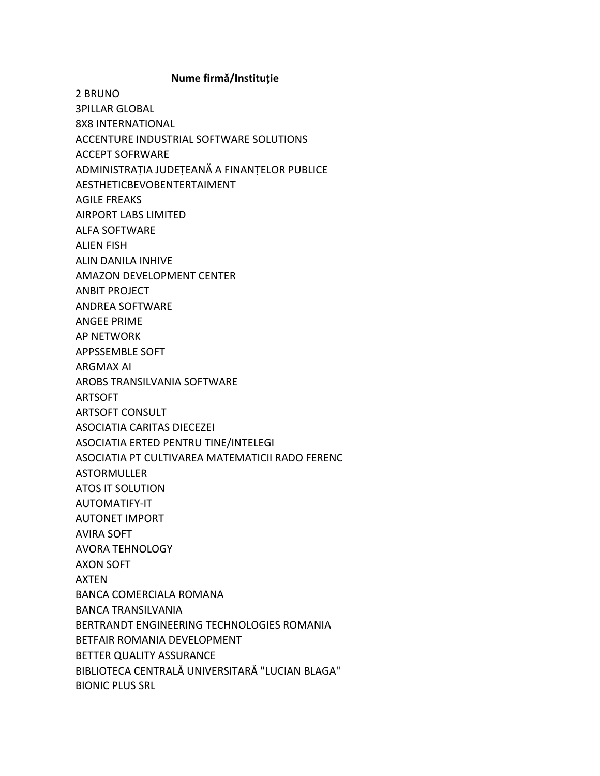## Nume firmă/Instituție

2 BRUNO **3PILLAR GLOBAL 8X8 INTERNATIONAL** ACCENTURE INDUSTRIAL SOFTWARE SOLUTIONS **ACCEPT SOFRWARE** ADMINISTRAȚIA JUDEȚEANĂ A FINANȚELOR PUBLICE AESTHETICBEVOBENTERTAIMENT **AGILE FREAKS AIRPORT LABS LIMITED ALFA SOFTWARE ALIEN FISH ALIN DANILA INHIVE AMAZON DEVELOPMENT CENTER ANBIT PROJECT ANDREA SOFTWARE ANGEE PRIME AP NETWORK APPSSEMBLE SOFT ARGMAX AI** AROBS TRANSILVANIA SOFTWARE **ARTSOFT ARTSOFT CONSULT ASOCIATIA CARITAS DIECEZEI** ASOCIATIA ERTED PENTRU TINE/INTELEGI ASOCIATIA PT CULTIVAREA MATEMATICII RADO FERENC **ASTORMULLER ATOS IT SOLUTION** AUTOMATIFY-IT **AUTONET IMPORT AVIRA SOFT AVORA TEHNOLOGY AXON SOFT AXTEN BANCA COMERCIALA ROMANA BANCA TRANSILVANIA** BERTRANDT ENGINEERING TECHNOLOGIES ROMANIA BETFAIR ROMANIA DEVELOPMENT BETTER QUALITY ASSURANCE BIBLIOTECA CENTRALĂ UNIVERSITARĂ "LUCIAN BLAGA" **BIONIC PLUS SRL**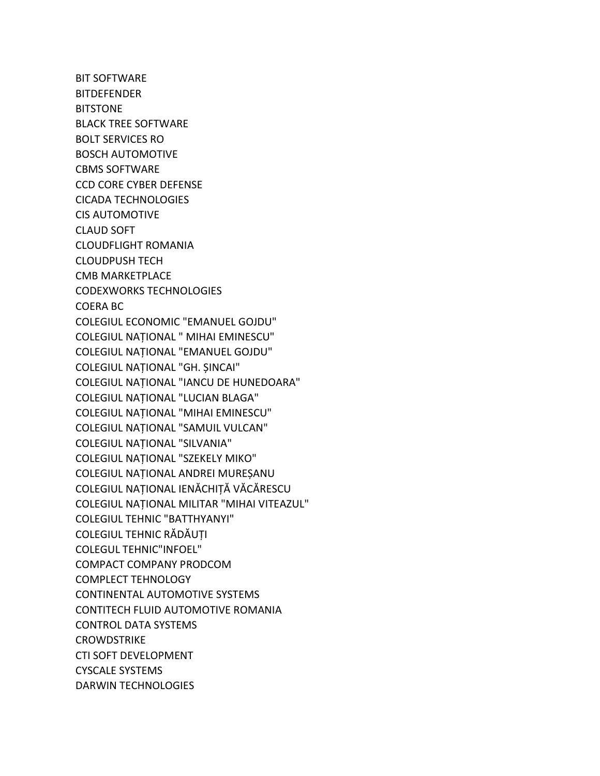BIT SOFTWARE **BITDEFENDER BITSTONE** BLACK TREE SOFTWARE BOLT SERVICES RO BOSCH AUTOMOTIVE CBMS SOFTWARE CCD CORE CYBER DEFENSE CICADA TECHNOLOGIES CIS AUTOMOTIVE CLAUD SOFT CLOUDFLIGHT ROMANIA CLOUDPUSH TECH CMB MARKETPLACE CODEXWORKS TECHNOLOGIES COERA BC COLEGIUL ECONOMIC "EMANUEL GOJDU" COLEGIUL NAȚIONAL " MIHAI EMINESCU" COLEGIUL NAȚIONAL "EMANUEL GOJDU" COLEGIUL NAȚIONAL "GH. ȘINCAI" COLEGIUL NAȚIONAL "IANCU DE HUNEDOARA" COLEGIUL NAȚIONAL "LUCIAN BLAGA" COLEGIUL NAȚIONAL "MIHAI EMINESCU" COLEGIUL NAȚIONAL "SAMUIL VULCAN" COLEGIUL NAȚIONAL "SILVANIA" COLEGIUL NAȚIONAL "SZEKELY MIKO" COLEGIUL NAȚIONAL ANDREI MUREȘANU COLEGIUL NAȚIONAL IENĂCHIȚĂ VĂCĂRESCU COLEGIUL NAȚIONAL MILITAR "MIHAI VITEAZUL" COLEGIUL TEHNIC "BATTHYANYI" COLEGIUL TEHNIC RĂDĂUȚI COLEGUL TEHNIC"INFOEL" COMPACT COMPANY PRODCOM COMPLECT TEHNOLOGY CONTINENTAL AUTOMOTIVE SYSTEMS CONTITECH FLUID AUTOMOTIVE ROMANIA CONTROL DATA SYSTEMS **CROWDSTRIKE** CTI SOFT DEVELOPMENT CYSCALE SYSTEMS DARWIN TECHNOLOGIES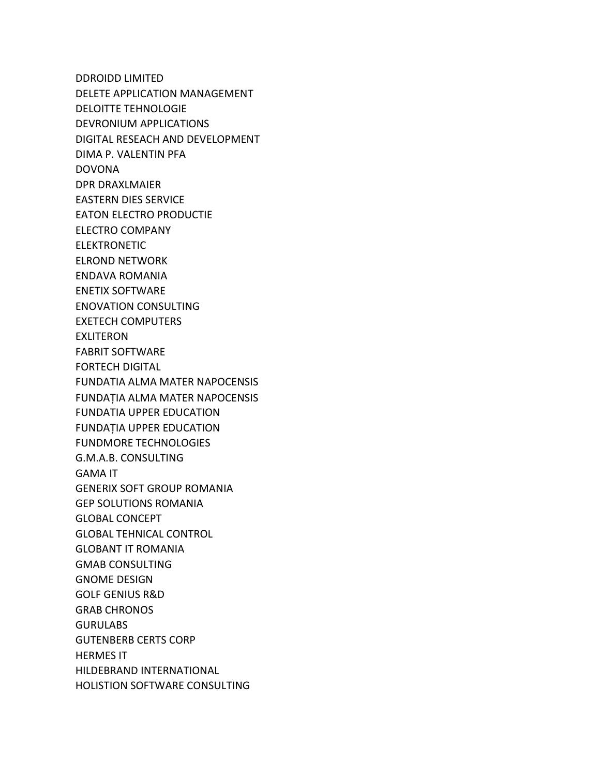DDROIDD LIMITED DELETE APPLICATION MANAGEMENT DELOITTE TEHNOLOGIE DEVRONIUM APPLICATIONS DIGITAL RESEACH AND DEVELOPMENT DIMA P. VALENTIN PFA DOVONA DPR DRAXLMAIER EASTERN DIES SERVICE EATON ELECTRO PRODUCTIE ELECTRO COMPANY ELEKTRONETIC ELROND NETWORK ENDAVA ROMANIA ENETIX SOFTWARE ENOVATION CONSULTING EXETECH COMPUTERS EXLITERON FABRIT SOFTWARE FORTECH DIGITAL FUNDATIA ALMA MATER NAPOCENSIS FUNDAȚIA ALMA MATER NAPOCENSIS FUNDATIA UPPER EDUCATION FUNDAȚIA UPPER EDUCATION FUNDMORE TECHNOLOGIES G.M.A.B. CONSULTING GAMA IT GENERIX SOFT GROUP ROMANIA GEP SOLUTIONS ROMANIA GLOBAL CONCEPT GLOBAL TEHNICAL CONTROL GLOBANT IT ROMANIA GMAB CONSULTING GNOME DESIGN GOLF GENIUS R&D GRAB CHRONOS **GURULABS** GUTENBERB CERTS CORP HERMES IT HILDEBRAND INTERNATIONAL HOLISTION SOFTWARE CONSULTING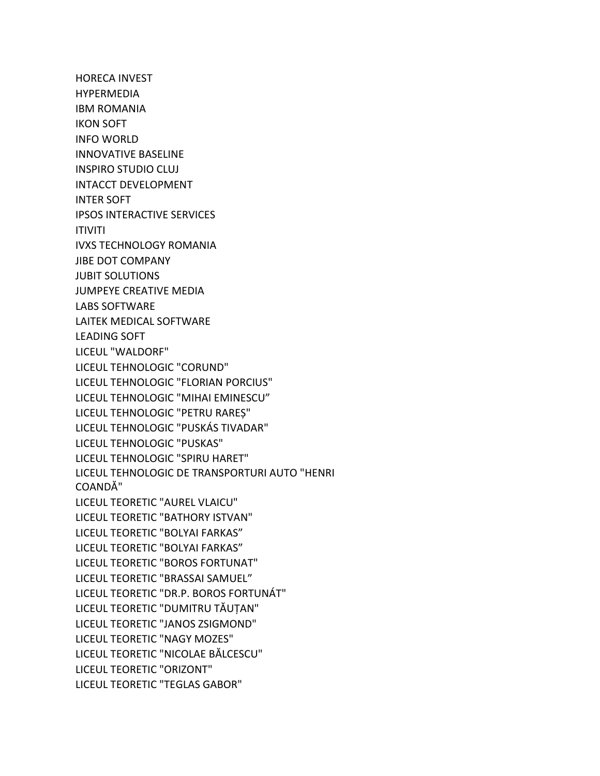HORECA INVEST HYPERMEDIA IBM ROMANIA IKON SOFT INFO WORLD INNOVATIVE BASELINE INSPIRO STUDIO CLUJ INTACCT DEVELOPMENT INTER SOFT IPSOS INTERACTIVE SERVICES ITIVITI IVXS TECHNOLOGY ROMANIA JIBE DOT COMPANY JUBIT SOLUTIONS JUMPEYE CREATIVE MEDIA LABS SOFTWARE LAITEK MEDICAL SOFTWARE LEADING SOFT LICEUL "WALDORF" LICEUL TEHNOLOGIC "CORUND" LICEUL TEHNOLOGIC "FLORIAN PORCIUS" LICEUL TEHNOLOGIC "MIHAI EMINESCU" LICEUL TEHNOLOGIC "PETRU RAREȘ" LICEUL TEHNOLOGIC "PUSKÁS TIVADAR" LICEUL TEHNOLOGIC "PUSKAS" LICEUL TEHNOLOGIC "SPIRU HARET" LICEUL TEHNOLOGIC DE TRANSPORTURI AUTO "HENRI COANDĂ" LICEUL TEORETIC "AUREL VLAICU" LICEUL TEORETIC "BATHORY ISTVAN" LICEUL TEORETIC "BOLYAI FARKAS" LICEUL TEORETIC "BOLYAI FARKAS" LICEUL TEORETIC "BOROS FORTUNAT" LICEUL TEORETIC "BRASSAI SAMUEL" LICEUL TEORETIC "DR.P. BOROS FORTUNÁT" LICEUL TEORETIC "DUMITRU TĂUȚAN" LICEUL TEORETIC "JANOS ZSIGMOND" LICEUL TEORETIC "NAGY MOZES" LICEUL TEORETIC "NICOLAE BĂLCESCU" LICEUL TEORETIC "ORIZONT" LICEUL TEORETIC "TEGLAS GABOR"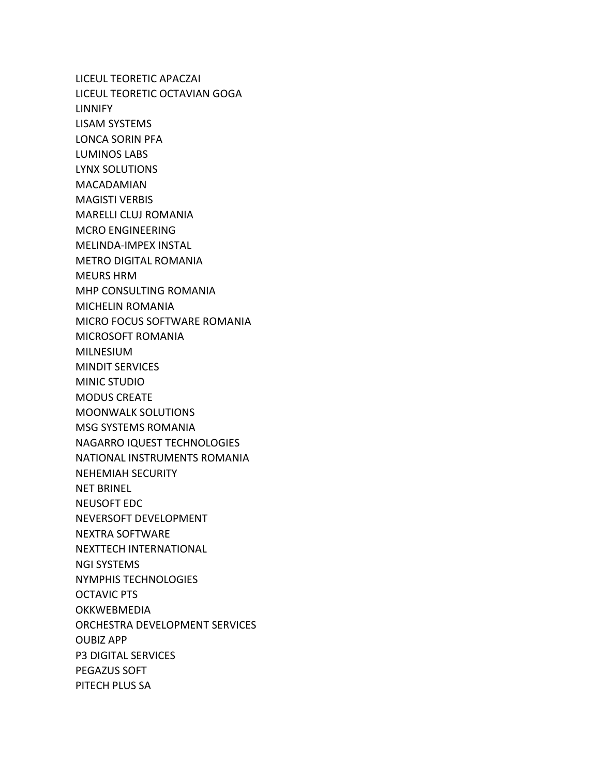LICEUL TEORETIC APACZAI LICEUL TEORETIC OCTAVIAN GOGA LINNIFY LISAM SYSTEMS LONCA SORIN PFA LUMINOS LABS LYNX SOLUTIONS MACADAMIAN MAGISTI VERBIS MARELLI CLUJ ROMANIA MCRO ENGINEERING MELINDA-IMPEX INSTAL METRO DIGITAL ROMANIA MEURS HRM MHP CONSULTING ROMANIA MICHELIN ROMANIA MICRO FOCUS SOFTWARE ROMANIA MICROSOFT ROMANIA MILNESIUM MINDIT SERVICES MINIC STUDIO MODUS CREATE MOONWALK SOLUTIONS MSG SYSTEMS ROMANIA NAGARRO IQUEST TECHNOLOGIES NATIONAL INSTRUMENTS ROMANIA NEHEMIAH SECURITY NET BRINEL NEUSOFT EDC NEVERSOFT DEVELOPMENT NEXTRA SOFTWARE NEXTTECH INTERNATIONAL NGI SYSTEMS NYMPHIS TECHNOLOGIES OCTAVIC PTS OKKWEBMEDIA ORCHESTRA DEVELOPMENT SERVICES OUBIZ APP P3 DIGITAL SERVICES PEGAZUS SOFT PITECH PLUS SA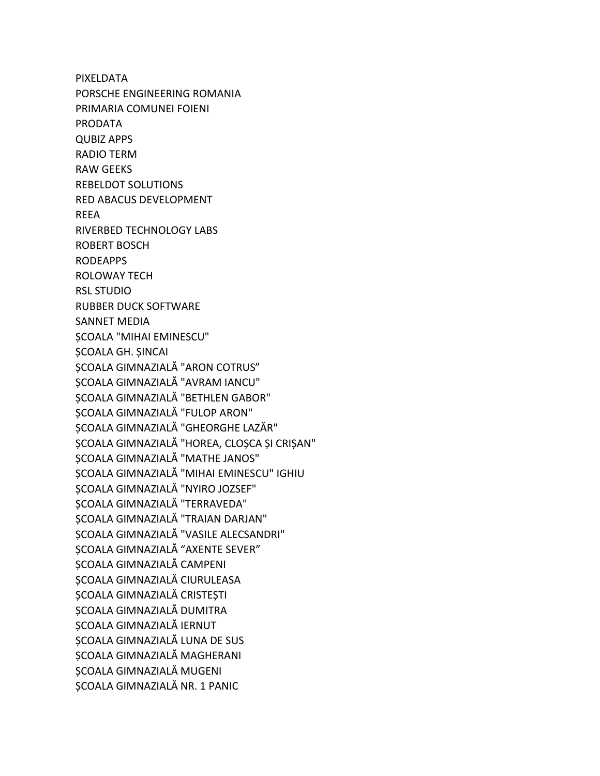**PIXELDATA** PORSCHE ENGINEERING ROMANIA PRIMARIA COMUNEI FOIENI **PRODATA QUBIZ APPS RADIO TERM RAW GEEKS REBELDOT SOLUTIONS RED ABACUS DEVELOPMENT REEA RIVERBED TECHNOLOGY LABS ROBERT BOSCH RODEAPPS ROLOWAY TECH RSL STUDIO RUBBER DUCK SOFTWARE** SANNET MEDIA **ȘCOALA "MIHAI EMINESCU" ȘCOALA GH. ȘINCAI** SCOALA GIMNAZIALĂ "ARON COTRUS" ȘCOALA GIMNAZIALĂ "AVRAM IANCU" SCOALA GIMNAZIALĂ "BETHLEN GABOR" SCOALA GIMNAZIALĂ "FULOP ARON" ȘCOALA GIMNAZIALĂ "GHEORGHE LAZĂR" SCOALA GIMNAZIALĂ "HOREA, CLOSCA SI CRISAN" SCOALA GIMNAZIALĂ "MATHE JANOS" SCOALA GIMNAZIALĂ "MIHAI EMINESCU" IGHIU SCOALA GIMNAZIALĂ "NYIRO JOZSEF" SCOALA GIMNAZIALĂ "TERRAVEDA" SCOALA GIMNAZIALĂ "TRAIAN DARJAN" SCOALA GIMNAZIALĂ "VASILE ALECSANDRI" SCOALA GIMNAZIALĂ "AXENTE SEVER" ȘCOALA GIMNAZIALĂ CAMPENI SCOALA GIMNAZIALĂ CIURULEASA SCOALA GIMNAZIALĂ CRISTEȘTI SCOALA GIMNAZIALĂ DUMITRA SCOALA GIMNAZIALĂ IERNUT SCOALA GIMNAZIALĂ LUNA DE SUS ȘCOALA GIMNAZIALĂ MAGHERANI SCOALA GIMNAZIALĂ MUGENI SCOALA GIMNAZIALĂ NR. 1 PANIC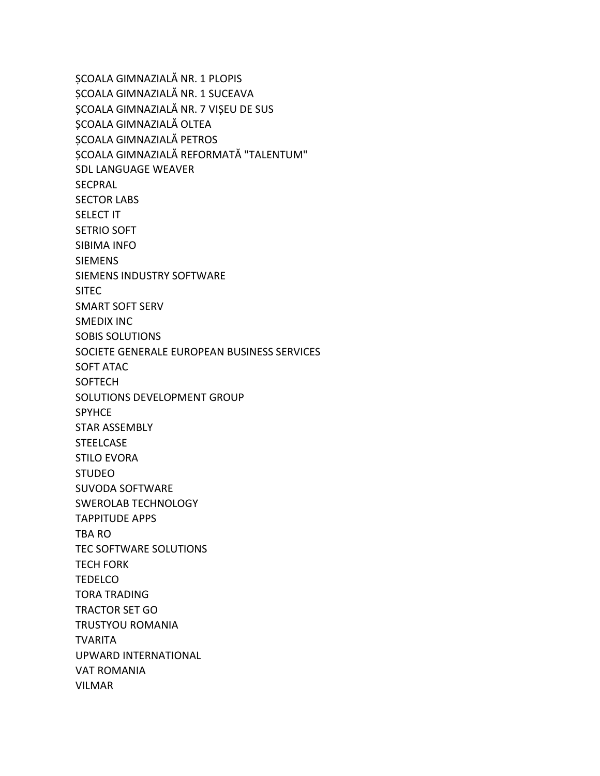ȘCOALA GIMNAZIALĂ NR. 1 PLOPIS ȘCOALA GIMNAZIALĂ NR. 1 SUCEAVA ȘCOALA GIMNAZIALĂ NR. 7 VIȘEU DE SUS ȘCOALA GIMNAZIALĂ OLTEA ȘCOALA GIMNAZIALĂ PETROS ȘCOALA GIMNAZIALĂ REFORMATĂ "TALENTUM" SDL LANGUAGE WEAVER **SECPRAL** SECTOR LABS SELECT IT SETRIO SOFT SIBIMA INFO SIEMENS SIEMENS INDUSTRY SOFTWARE SITEC SMART SOFT SERV SMEDIX INC SOBIS SOLUTIONS SOCIETE GENERALE EUROPEAN BUSINESS SERVICES SOFT ATAC SOFTECH SOLUTIONS DEVELOPMENT GROUP **SPYHCE** STAR ASSEMBLY **STEELCASE** STILO EVORA STUDEO SUVODA SOFTWARE SWEROLAB TECHNOLOGY TAPPITUDE APPS TBA RO TEC SOFTWARE SOLUTIONS TECH FORK TEDELCO TORA TRADING TRACTOR SET GO TRUSTYOU ROMANIA TVARITA UPWARD INTERNATIONAL VAT ROMANIA VILMAR